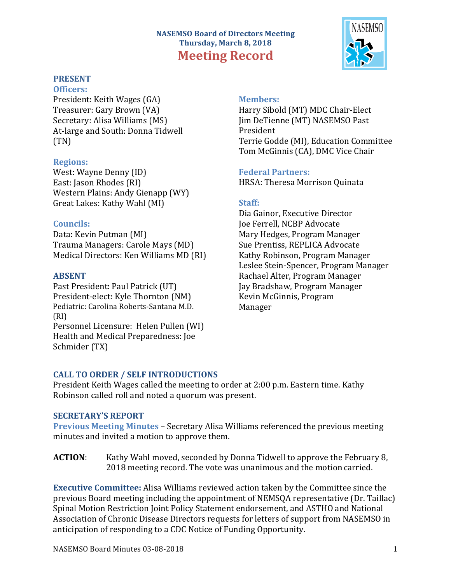# **NASEMSO Board of Directors Meeting Thursday, March 8, 2018 Meeting Record**



# **PRESENT**

**Officers:** President: Keith Wages (GA) Treasurer: Gary Brown (VA) Secretary: Alisa Williams (MS) At-large and South: Donna Tidwell (TN)

# **Regions:**

West: Wayne Denny (ID) East: Jason Rhodes (RI) Western Plains: Andy Gienapp (WY) Great Lakes: Kathy Wahl (MI)

# **Councils:**

Data: Kevin Putman (MI) Trauma Managers: Carole Mays (MD) Medical Directors: Ken Williams MD (RI)

# **ABSENT**

Past President: Paul Patrick (UT) President-elect: Kyle Thornton (NM) Pediatric: Carolina Roberts-Santana M.D. (RI) Personnel Licensure: Helen Pullen (WI) Health and Medical Preparedness: Joe Schmider (TX)

## **Members:**

Harry Sibold (MT) MDC Chair-Elect Iim DeTienne (MT) NASEMSO Past President Terrie Godde (MI), Education Committee Tom McGinnis (CA), DMC Vice Chair

# **Federal Partners:**

HRSA: Theresa Morrison Quinata

# **Staff:**

Dia Gainor, Executive Director Joe Ferrell, NCBP Advocate Mary Hedges, Program Manager Sue Prentiss, REPLICA Advocate Kathy Robinson, Program Manager Leslee Stein-Spencer, Program Manager Rachael Alter, Program Manager Jay Bradshaw, Program Manager Kevin McGinnis, Program Manager

# **CALL TO ORDER / SELF INTRODUCTIONS**

President Keith Wages called the meeting to order at 2:00 p.m. Eastern time. Kathy Robinson called roll and noted a quorum was present.

### **SECRETARY'S REPORT**

**Previous Meeting Minutes** – Secretary Alisa Williams referenced the previous meeting minutes and invited a motion to approve them.

**ACTION:** Kathy Wahl moved, seconded by Donna Tidwell to approve the February 8, 2018 meeting record. The vote was unanimous and the motion carried.

**Executive Committee:** Alisa Williams reviewed action taken by the Committee since the previous Board meeting including the appointment of NEMSQA representative (Dr. Taillac) Spinal Motion Restriction Joint Policy Statement endorsement, and ASTHO and National Association of Chronic Disease Directors requests for letters of support from NASEMSO in anticipation of responding to a CDC Notice of Funding Opportunity.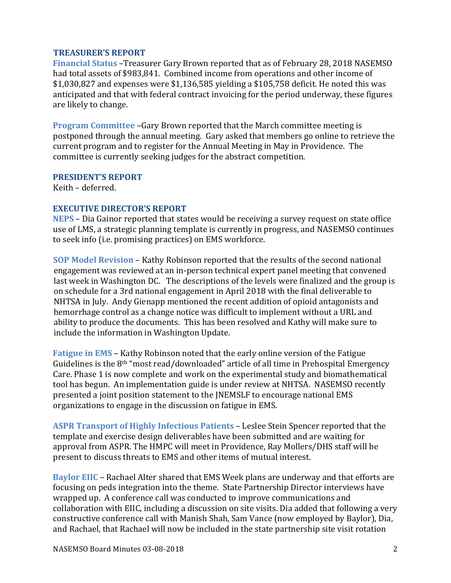### **TREASURER'S REPORT**

**Financial Status** –Treasurer Gary Brown reported that as of February 28, 2018 NASEMSO had total assets of \$983,841. Combined income from operations and other income of  $$1,030,827$  and expenses were  $$1,136,585$  yielding a  $$105,758$  deficit. He noted this was anticipated and that with federal contract invoicing for the period underway, these figures are likely to change.

**Program Committee** –Gary Brown reported that the March committee meeting is postponed through the annual meeting. Gary asked that members go online to retrieve the current program and to register for the Annual Meeting in May in Providence. The committee is currently seeking judges for the abstract competition.

#### **PRESIDENT'S REPORT**

Keith – deferred.

### **EXECUTIVE DIRECTOR'S REPORT**

**NEPS** – Dia Gainor reported that states would be receiving a survey request on state office use of LMS, a strategic planning template is currently in progress, and NASEMSO continues to seek info (i.e. promising practices) on EMS workforce.

**SOP Model Revision – Kathy Robinson reported that the results of the second national** engagement was reviewed at an in-person technical expert panel meeting that convened last week in Washington DC. The descriptions of the levels were finalized and the group is on schedule for a 3rd national engagement in April 2018 with the final deliverable to NHTSA in July. Andy Gienapp mentioned the recent addition of opioid antagonists and hemorrhage control as a change notice was difficult to implement without a URL and ability to produce the documents. This has been resolved and Kathy will make sure to include the information in Washington Update.

**Fatigue in EMS** – Kathy Robinson noted that the early online version of the Fatigue Guidelines is the  $8<sup>th</sup>$  "most read/downloaded" article of all time in Prehospital Emergency Care. Phase 1 is now complete and work on the experimental study and biomathematical tool has begun. An implementation guide is under review at NHTSA. NASEMSO recently presented a joint position statement to the JNEMSLF to encourage national EMS organizations to engage in the discussion on fatigue in EMS.

**ASPR Transport of Highly Infectious Patients – Leslee Stein Spencer reported that the** template and exercise design deliverables have been submitted and are waiting for approval from ASPR. The HMPC will meet in Providence, Ray Mollers/DHS staff will be present to discuss threats to EMS and other items of mutual interest.

**Baylor EIIC** – Rachael Alter shared that EMS Week plans are underway and that efforts are focusing on peds integration into the theme. State Partnership Director interviews have wrapped up. A conference call was conducted to improve communications and collaboration with EIIC, including a discussion on site visits. Dia added that following a very constructive conference call with Manish Shah, Sam Vance (now employed by Baylor), Dia, and Rachael, that Rachael will now be included in the state partnership site visit rotation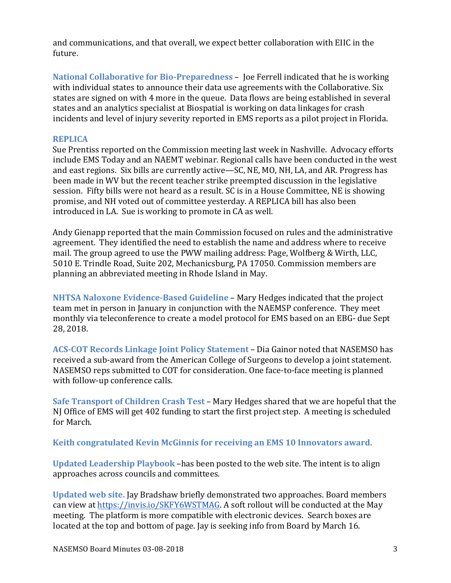and communications, and that overall, we expect better collaboration with EIIC in the future.

**National Collaborative for Bio-Preparedness** – Joe Ferrell indicated that he is working with individual states to announce their data use agreements with the Collaborative. Six states are signed on with 4 more in the queue. Data flows are being established in several states and an analytics specialist at Biospatial is working on data linkages for crash incidents and level of injury severity reported in EMS reports as a pilot project in Florida.

### **REPLICA**

Sue Prentiss reported on the Commission meeting last week in Nashville. Advocacy efforts include EMS Today and an NAEMT webinar. Regional calls have been conducted in the west and east regions. Six bills are currently active—SC, NE, MO, NH, LA, and AR. Progress has been made in WV but the recent teacher strike preempted discussion in the legislative session. Fifty bills were not heard as a result. SC is in a House Committee, NE is showing promise, and NH voted out of committee yesterday. A REPLICA bill has also been introduced in LA. Sue is working to promote in CA as well.

Andy Gienapp reported that the main Commission focused on rules and the administrative agreement. They identified the need to establish the name and address where to receive mail. The group agreed to use the PWW mailing address: Page, Wolfberg & Wirth, LLC, 5010 E. Trindle Road, Suite 202, Mechanicsburg, PA 17050. Commission members are planning an abbreviated meeting in Rhode Island in May.

**NHTSA Naloxone Evidence-Based Guideline – Mary Hedges indicated that the project** team met in person in January in conjunction with the NAEMSP conference. They meet monthly via teleconference to create a model protocol for EMS based on an EBG- due Sept 28, 2018. 

ACS-COT Records Linkage Joint Policy Statement – Dia Gainor noted that NASEMSO has received a sub-award from the American College of Surgeons to develop a joint statement. NASEMSO reps submitted to COT for consideration. One face-to-face meeting is planned with follow-up conference calls.

**Safe Transport of Children Crash Test** – Mary Hedges shared that we are hopeful that the NJ Office of EMS will get 402 funding to start the first project step. A meeting is scheduled for March.

#### **Keith congratulated Kevin McGinnis for receiving an EMS 10 Innovators award.**

**Updated Leadership Playbook** –has been posted to the web site. The intent is to align approaches across councils and committees.

**Updated web site.** Jay Bradshaw briefly demonstrated two approaches. Board members can view at https://invis.io/SKFY6WSTMAG. A soft rollout will be conducted at the May meeting. The platform is more compatible with electronic devices. Search boxes are located at the top and bottom of page. Jay is seeking info from Board by March 16.